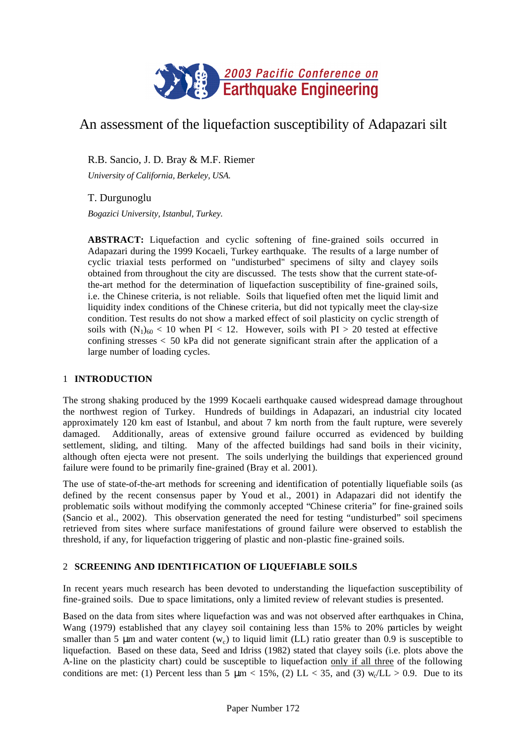

# An assessment of the liquefaction susceptibility of Adapazari silt

R.B. Sancio, J. D. Bray & M.F. Riemer

*University of California, Berkeley, USA.*

# T. Durgunoglu

*Bogazici University, Istanbul, Turkey.*

**ABSTRACT:** Liquefaction and cyclic softening of fine-grained soils occurred in Adapazari during the 1999 Kocaeli, Turkey earthquake. The results of a large number of cyclic triaxial tests performed on "undisturbed" specimens of silty and clayey soils obtained from throughout the city are discussed. The tests show that the current state-ofthe-art method for the determination of liquefaction susceptibility of fine-grained soils, i.e. the Chinese criteria, is not reliable. Soils that liquefied often met the liquid limit and liquidity index conditions of the Chinese criteria, but did not typically meet the clay-size condition. Test results do not show a marked effect of soil plasticity on cyclic strength of soils with  $(N_1)_{60}$  < 10 when PI < 12. However, soils with PI > 20 tested at effective confining stresses < 50 kPa did not generate significant strain after the application of a large number of loading cycles.

# 1 **INTRODUCTION**

The strong shaking produced by the 1999 Kocaeli earthquake caused widespread damage throughout the northwest region of Turkey. Hundreds of buildings in Adapazari, an industrial city located approximately 120 km east of Istanbul, and about 7 km north from the fault rupture, were severely damaged. Additionally, areas of extensive ground failure occurred as evidenced by building settlement, sliding, and tilting. Many of the affected buildings had sand boils in their vicinity, although often ejecta were not present. The soils underlying the buildings that experienced ground failure were found to be primarily fine-grained (Bray et al. 2001).

The use of state-of-the-art methods for screening and identification of potentially liquefiable soils (as defined by the recent consensus paper by Youd et al., 2001) in Adapazari did not identify the problematic soils without modifying the commonly accepted "Chinese criteria" for fine-grained soils (Sancio et al., 2002). This observation generated the need for testing "undisturbed" soil specimens retrieved from sites where surface manifestations of ground failure were observed to establish the threshold, if any, for liquefaction triggering of plastic and non-plastic fine-grained soils.

# 2 **SCREENING AND IDENTIFICATION OF LIQUEFIABLE SOILS**

In recent years much research has been devoted to understanding the liquefaction susceptibility of fine-grained soils. Due to space limitations, only a limited review of relevant studies is presented.

Based on the data from sites where liquefaction was and was not observed after earthquakes in China, Wang (1979) established that any clayey soil containing less than 15% to 20% particles by weight smaller than 5  $\mu$ m and water content (w<sub>c</sub>) to liquid limit (LL) ratio greater than 0.9 is susceptible to liquefaction. Based on these data, Seed and Idriss (1982) stated that clayey soils (i.e. plots above the A-line on the plasticity chart) could be susceptible to liquefaction only if all three of the following conditions are met: (1) Percent less than 5  $\mu$ m < 15%, (2) LL < 35, and (3) w<sub>c</sub>/LL > 0.9. Due to its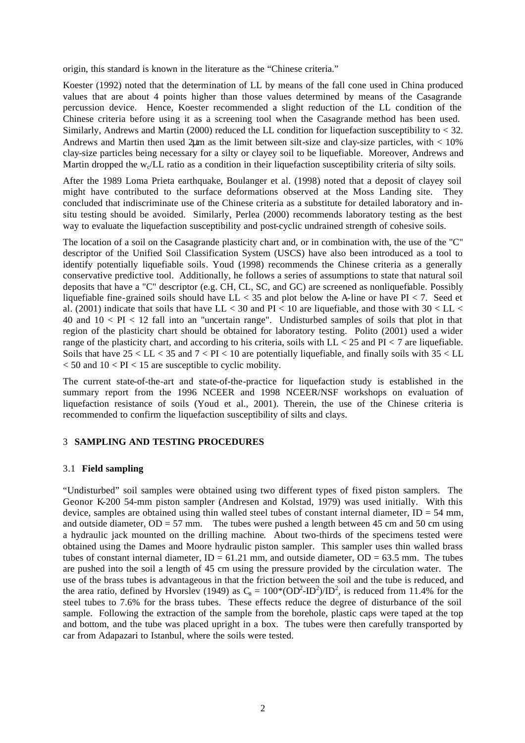origin, this standard is known in the literature as the "Chinese criteria."

Koester (1992) noted that the determination of LL by means of the fall cone used in China produced values that are about 4 points higher than those values determined by means of the Casagrande percussion device. Hence, Koester recommended a slight reduction of the LL condition of the Chinese criteria before using it as a screening tool when the Casagrande method has been used. Similarly, Andrews and Martin (2000) reduced the LL condition for liquefaction susceptibility to < 32. Andrews and Martin then used  $2\mu$ m as the limit between silt-size and clay-size particles, with  $\lt 10\%$ clay-size particles being necessary for a silty or clayey soil to be liquefiable. Moreover, Andrews and Martin dropped the  $w_c/L$  ratio as a condition in their liquefaction susceptibility criteria of silty soils.

After the 1989 Loma Prieta earthquake, Boulanger et al. (1998) noted that a deposit of clayey soil might have contributed to the surface deformations observed at the Moss Landing site. They concluded that indiscriminate use of the Chinese criteria as a substitute for detailed laboratory and insitu testing should be avoided. Similarly, Perlea (2000) recommends laboratory testing as the best way to evaluate the liquefaction susceptibility and post-cyclic undrained strength of cohesive soils.

The location of a soil on the Casagrande plasticity chart and, or in combination with, the use of the "C" descriptor of the Unified Soil Classification System (USCS) have also been introduced as a tool to identify potentially liquefiable soils. Youd (1998) recommends the Chinese criteria as a generally conservative predictive tool. Additionally, he follows a series of assumptions to state that natural soil deposits that have a "C" descriptor (e.g. CH, CL, SC, and GC) are screened as nonliquefiable. Possibly liquefiable fine-grained soils should have  $LL < 35$  and plot below the A-line or have PI  $< 7$ . Seed et al. (2001) indicate that soils that have LL < 30 and PI < 10 are liquefiable, and those with  $30 < L$ L < 40 and 10 < PI < 12 fall into an "uncertain range". Undisturbed samples of soils that plot in that region of the plasticity chart should be obtained for laboratory testing. Polito (2001) used a wider range of the plasticity chart, and according to his criteria, soils with  $LL < 25$  and  $PI < 7$  are liquefiable. Soils that have  $25 < LL < 35$  and  $7 < PI < 10$  are potentially liquefiable, and finally soils with  $35 < LL$  $<$  50 and 10  $<$  PI  $<$  15 are susceptible to cyclic mobility.

The current state-of-the-art and state-of-the-practice for liquefaction study is established in the summary report from the 1996 NCEER and 1998 NCEER/NSF workshops on evaluation of liquefaction resistance of soils (Youd et al., 2001). Therein, the use of the Chinese criteria is recommended to confirm the liquefaction susceptibility of silts and clays.

# 3 **SAMPLING AND TESTING PROCEDURES**

### 3.1 **Field sampling**

"Undisturbed" soil samples were obtained using two different types of fixed piston samplers. The Geonor K-200 54-mm piston sampler (Andresen and Kolstad, 1979) was used initially. With this device, samples are obtained using thin walled steel tubes of constant internal diameter,  $ID = 54$  mm, and outside diameter,  $OD = 57$  mm. The tubes were pushed a length between 45 cm and 50 cm using a hydraulic jack mounted on the drilling machine. About two-thirds of the specimens tested were obtained using the Dames and Moore hydraulic piston sampler. This sampler uses thin walled brass tubes of constant internal diameter,  $ID = 61.21$  mm, and outside diameter,  $OD = 63.5$  mm. The tubes are pushed into the soil a length of 45 cm using the pressure provided by the circulation water. The use of the brass tubes is advantageous in that the friction between the soil and the tube is reduced, and the area ratio, defined by Hvorslev (1949) as  $C_a = 100*(OD^2-ID^2)/ID^2$ , is reduced from 11.4% for the steel tubes to 7.6% for the brass tubes. These effects reduce the degree of disturbance of the soil sample. Following the extraction of the sample from the borehole, plastic caps were taped at the top and bottom, and the tube was placed upright in a box. The tubes were then carefully transported by car from Adapazari to Istanbul, where the soils were tested.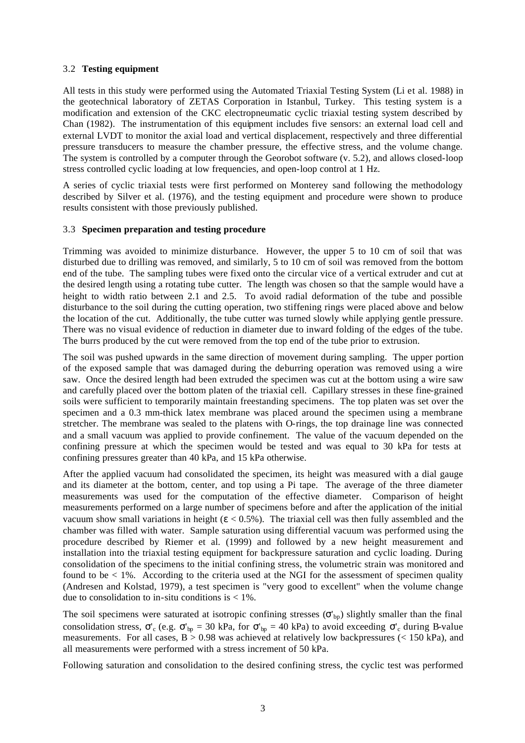# 3.2 **Testing equipment**

All tests in this study were performed using the Automated Triaxial Testing System (Li et al. 1988) in the geotechnical laboratory of ZETAS Corporation in Istanbul, Turkey. This testing system is a modification and extension of the CKC electropneumatic cyclic triaxial testing system described by Chan (1982). The instrumentation of this equipment includes five sensors: an external load cell and external LVDT to monitor the axial load and vertical displacement, respectively and three differential pressure transducers to measure the chamber pressure, the effective stress, and the volume change. The system is controlled by a computer through the Georobot software (v. 5.2), and allows closed-loop stress controlled cyclic loading at low frequencies, and open-loop control at 1 Hz.

A series of cyclic triaxial tests were first performed on Monterey sand following the methodology described by Silver et al. (1976), and the testing equipment and procedure were shown to produce results consistent with those previously published.

# 3.3 **Specimen preparation and testing procedure**

Trimming was avoided to minimize disturbance. However, the upper 5 to 10 cm of soil that was disturbed due to drilling was removed, and similarly, 5 to 10 cm of soil was removed from the bottom end of the tube. The sampling tubes were fixed onto the circular vice of a vertical extruder and cut at the desired length using a rotating tube cutter. The length was chosen so that the sample would have a height to width ratio between 2.1 and 2.5. To avoid radial deformation of the tube and possible disturbance to the soil during the cutting operation, two stiffening rings were placed above and below the location of the cut. Additionally, the tube cutter was turned slowly while applying gentle pressure. There was no visual evidence of reduction in diameter due to inward folding of the edges of the tube. The burrs produced by the cut were removed from the top end of the tube prior to extrusion.

The soil was pushed upwards in the same direction of movement during sampling. The upper portion of the exposed sample that was damaged during the deburring operation was removed using a wire saw. Once the desired length had been extruded the specimen was cut at the bottom using a wire saw and carefully placed over the bottom platen of the triaxial cell. Capillary stresses in these fine-grained soils were sufficient to temporarily maintain freestanding specimens. The top platen was set over the specimen and a 0.3 mm-thick latex membrane was placed around the specimen using a membrane stretcher. The membrane was sealed to the platens with O-rings, the top drainage line was connected and a small vacuum was applied to provide confinement. The value of the vacuum depended on the confining pressure at which the specimen would be tested and was equal to 30 kPa for tests at confining pressures greater than 40 kPa, and 15 kPa otherwise.

After the applied vacuum had consolidated the specimen, its height was measured with a dial gauge and its diameter at the bottom, center, and top using a Pi tape. The average of the three diameter measurements was used for the computation of the effective diameter. Comparison of height measurements performed on a large number of specimens before and after the application of the initial vacuum show small variations in height ( $\varepsilon$  < 0.5%). The triaxial cell was then fully assembled and the chamber was filled with water. Sample saturation using differential vacuum was performed using the procedure described by Riemer et al. (1999) and followed by a new height measurement and installation into the triaxial testing equipment for backpressure saturation and cyclic loading. During consolidation of the specimens to the initial confining stress, the volumetric strain was monitored and found to be  $< 1\%$ . According to the criteria used at the NGI for the assessment of specimen quality (Andresen and Kolstad, 1979), a test specimen is "very good to excellent" when the volume change due to consolidation to in-situ conditions is  $\lt 1\%$ .

The soil specimens were saturated at isotropic confining stresses  $(\sigma_{bp})$  slightly smaller than the final consolidation stress,  $\sigma'_{c}$  (e.g.  $\sigma'_{bp} = 30$  kPa, for  $\sigma'_{bp} = 40$  kPa) to avoid exceeding  $\sigma'_{c}$  during B-value measurements. For all cases,  $B > 0.98$  was achieved at relatively low backpressures (< 150 kPa), and all measurements were performed with a stress increment of 50 kPa.

Following saturation and consolidation to the desired confining stress, the cyclic test was performed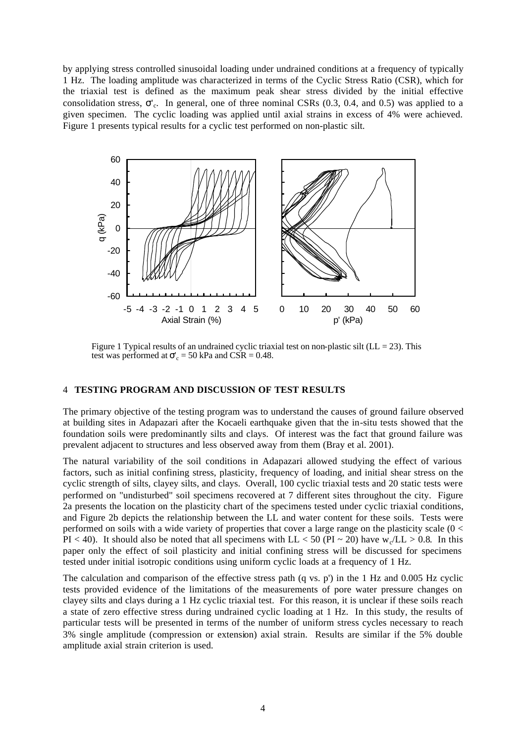by applying stress controlled sinusoidal loading under undrained conditions at a frequency of typically 1 Hz. The loading amplitude was characterized in terms of the Cyclic Stress Ratio (CSR), which for the triaxial test is defined as the maximum peak shear stress divided by the initial effective consolidation stress, σ'<sup>c</sup> . In general, one of three nominal CSRs (0.3, 0.4, and 0.5) was applied to a given specimen. The cyclic loading was applied until axial strains in excess of 4% were achieved. Figure 1 presents typical results for a cyclic test performed on non-plastic silt.



Figure 1 Typical results of an undrained cyclic triaxial test on non-plastic silt (LL  $= 23$ ). This test was performed at  $\sigma'_{c} = 50$  kPa and CSR = 0.48.

#### 4 **TESTING PROGRAM AND DISCUSSION OF TEST RESULTS**

The primary objective of the testing program was to understand the causes of ground failure observed at building sites in Adapazari after the Kocaeli earthquake given that the in-situ tests showed that the foundation soils were predominantly silts and clays. Of interest was the fact that ground failure was prevalent adjacent to structures and less observed away from them (Bray et al. 2001).

The natural variability of the soil conditions in Adapazari allowed studying the effect of various factors, such as initial confining stress, plasticity, frequency of loading, and initial shear stress on the cyclic strength of silts, clayey silts, and clays. Overall, 100 cyclic triaxial tests and 20 static tests were performed on "undisturbed" soil specimens recovered at 7 different sites throughout the city. Figure 2a presents the location on the plasticity chart of the specimens tested under cyclic triaxial conditions, and Figure 2b depicts the relationship between the LL and water content for these soils. Tests were performed on soils with a wide variety of properties that cover a large range on the plasticity scale (0 < PI < 40). It should also be noted that all specimens with  $LL < 50$  (PI ~ 20) have w<sub>c</sub>/LL > 0.8. In this paper only the effect of soil plasticity and initial confining stress will be discussed for specimens tested under initial isotropic conditions using uniform cyclic loads at a frequency of 1 Hz.

The calculation and comparison of the effective stress path (q vs. p') in the 1 Hz and 0.005 Hz cyclic tests provided evidence of the limitations of the measurements of pore water pressure changes on clayey silts and clays during a 1 Hz cyclic triaxial test. For this reason, it is unclear if these soils reach a state of zero effective stress during undrained cyclic loading at 1 Hz. In this study, the results of particular tests will be presented in terms of the number of uniform stress cycles necessary to reach 3% single amplitude (compression or extension) axial strain. Results are similar if the 5% double amplitude axial strain criterion is used.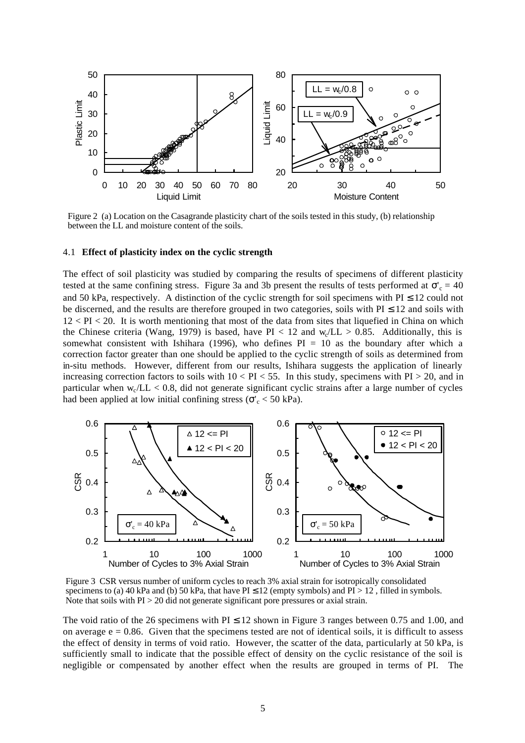

Figure 2 (a) Location on the Casagrande plasticity chart of the soils tested in this study, (b) relationship between the LL and moisture content of the soils.

#### 4.1 **Effect of plasticity index on the cyclic strength**

The effect of soil plasticity was studied by comparing the results of specimens of different plasticity tested at the same confining stress. Figure 3a and 3b present the results of tests performed at  $\sigma_c' = 40$ and 50 kPa, respectively. A distinction of the cyclic strength for soil specimens with  $PI \le 12$  could not be discerned, and the results are therefore grouped in two categories, soils with  $PI \le 12$  and soils with  $12 < PI < 20$ . It is worth mentioning that most of the data from sites that liquefied in China on which the Chinese criteria (Wang, 1979) is based, have  $PI < 12$  and  $w_c/L > 0.85$ . Additionally, this is somewhat consistent with Ishihara (1996), who defines  $PI = 10$  as the boundary after which a correction factor greater than one should be applied to the cyclic strength of soils as determined from in-situ methods. However, different from our results, Ishihara suggests the application of linearly increasing correction factors to soils with  $10 < PI < 55$ . In this study, specimens with  $PI > 20$ , and in particular when  $w_c/L < 0.8$ , did not generate significant cyclic strains after a large number of cycles had been applied at low initial confining stress ( $\sigma_c' < 50$  kPa).



Figure 3 CSR versus number of uniform cycles to reach 3% axial strain for isotropically consolidated specimens to (a) 40 kPa and (b) 50 kPa, that have  $PI \le 12$  (empty symbols) and  $PI > 12$ , filled in symbols. Note that soils with PI > 20 did not generate significant pore pressures or axial strain.

The void ratio of the 26 specimens with  $PI \le 12$  shown in Figure 3 ranges between 0.75 and 1.00, and on average  $e = 0.86$ . Given that the specimens tested are not of identical soils, it is difficult to assess the effect of density in terms of void ratio. However, the scatter of the data, particularly at 50 kPa, is sufficiently small to indicate that the possible effect of density on the cyclic resistance of the soil is negligible or compensated by another effect when the results are grouped in terms of PI. The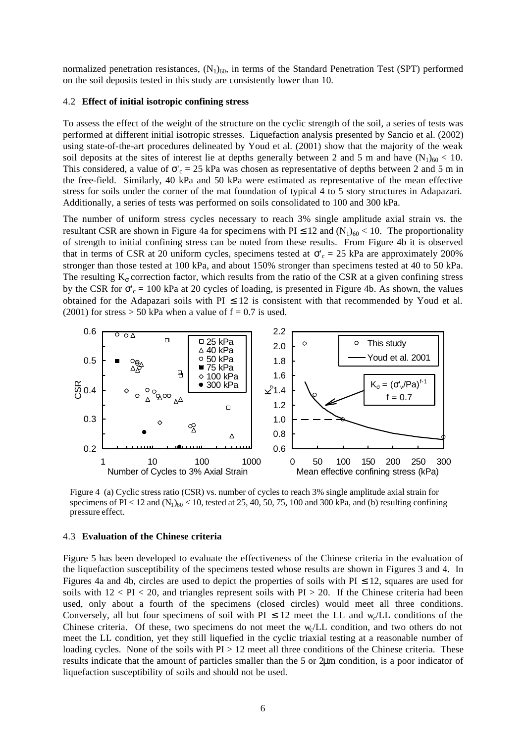normalized penetration resistances,  $(N_1)_{60}$ , in terms of the Standard Penetration Test (SPT) performed on the soil deposits tested in this study are consistently lower than 10.

### 4.2 **Effect of initial isotropic confining stress**

To assess the effect of the weight of the structure on the cyclic strength of the soil, a series of tests was performed at different initial isotropic stresses. Liquefaction analysis presented by Sancio et al. (2002) using state-of-the-art procedures delineated by Youd et al. (2001) show that the majority of the weak soil deposits at the sites of interest lie at depths generally between 2 and 5 m and have  $(N_1)_{60}$  < 10. This considered, a value of  $\sigma_c = 25$  kPa was chosen as representative of depths between 2 and 5 m in the free-field. Similarly, 40 kPa and 50 kPa were estimated as representative of the mean effective stress for soils under the corner of the mat foundation of typical 4 to 5 story structures in Adapazari. Additionally, a series of tests was performed on soils consolidated to 100 and 300 kPa.

The number of uniform stress cycles necessary to reach 3% single amplitude axial strain vs. the resultant CSR are shown in Figure 4a for specimens with PI  $\leq$  12 and  $(N_1)_{60}$  < 10. The proportionality of strength to initial confining stress can be noted from these results. From Figure 4b it is observed that in terms of CSR at 20 uniform cycles, specimens tested at  $\sigma_c$  = 25 kPa are approximately 200% stronger than those tested at 100 kPa, and about 150% stronger than specimens tested at 40 to 50 kPa. The resulting  $K_{\sigma}$  correction factor, which results from the ratio of the CSR at a given confining stress by the CSR for  $\sigma_c$  = 100 kPa at 20 cycles of loading, is presented in Figure 4b. As shown, the values obtained for the Adapazari soils with  $PI \le 12$  is consistent with that recommended by Youd et al. (2001) for stress  $> 50$  kPa when a value of  $f = 0.7$  is used.



Figure 4 (a) Cyclic stress ratio (CSR) vs. number of cycles to reach 3% single amplitude axial strain for specimens of  $PI < 12$  and  $(N_1)_{60} < 10$ , tested at 25, 40, 50, 75, 100 and 300 kPa, and (b) resulting confining pressure effect.

#### 4.3 **Evaluation of the Chinese criteria**

Figure 5 has been developed to evaluate the effectiveness of the Chinese criteria in the evaluation of the liquefaction susceptibility of the specimens tested whose results are shown in Figures 3 and 4. In Figures 4a and 4b, circles are used to depict the properties of soils with  $PI \le 12$ , squares are used for soils with  $12 <$  PI  $<$  20, and triangles represent soils with PI  $>$  20. If the Chinese criteria had been used, only about a fourth of the specimens (closed circles) would meet all three conditions. Conversely, all but four specimens of soil with  $PI \le 12$  meet the LL and w<sub>c</sub>/LL conditions of the Chinese criteria. Of these, two specimens do not meet the  $w_c/L$  condition, and two others do not meet the LL condition, yet they still liquefied in the cyclic triaxial testing at a reasonable number of loading cycles. None of the soils with  $PI > 12$  meet all three conditions of the Chinese criteria. These results indicate that the amount of particles smaller than the 5 or 2μm condition, is a poor indicator of liquefaction susceptibility of soils and should not be used.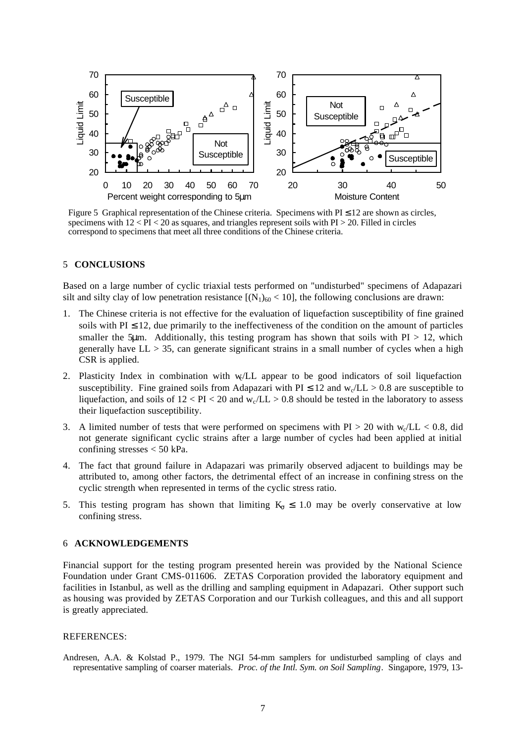

Figure 5 Graphical representation of the Chinese criteria. Specimens with  $PI \le 12$  are shown as circles, specimens with  $12 <$  PI  $<$  20 as squares, and triangles represent soils with PI  $>$  20. Filled in circles correspond to specimens that meet all three conditions of the Chinese criteria.

#### 5 **CONCLUSIONS**

Based on a large number of cyclic triaxial tests performed on "undisturbed" specimens of Adapazari silt and silty clay of low penetration resistance  $[(N_1)_{60} < 10]$ , the following conclusions are drawn:

- 1. The Chinese criteria is not effective for the evaluation of liquefaction susceptibility of fine grained soils with  $PI \leq 12$ , due primarily to the ineffectiveness of the condition on the amount of particles smaller the 5µm. Additionally, this testing program has shown that soils with  $PI > 12$ , which generally have  $LL > 35$ , can generate significant strains in a small number of cycles when a high CSR is applied.
- 2. Plasticity Index in combination with w/LL appear to be good indicators of soil liquefaction susceptibility. Fine grained soils from Adapazari with  $PI \le 12$  and  $w_c/L > 0.8$  are susceptible to liquefaction, and soils of  $12 < PI < 20$  and  $w_c/LL > 0.8$  should be tested in the laboratory to assess their liquefaction susceptibility.
- 3. A limited number of tests that were performed on specimens with  $PI > 20$  with  $w_c/L < 0.8$ , did not generate significant cyclic strains after a large number of cycles had been applied at initial confining stresses < 50 kPa.
- 4. The fact that ground failure in Adapazari was primarily observed adjacent to buildings may be attributed to, among other factors, the detrimental effect of an increase in confining stress on the cyclic strength when represented in terms of the cyclic stress ratio.
- 5. This testing program has shown that limiting  $K_{\sigma} \leq 1.0$  may be overly conservative at low confining stress.

#### 6 **ACKNOWLEDGEMENTS**

Financial support for the testing program presented herein was provided by the National Science Foundation under Grant CMS-011606. ZETAS Corporation provided the laboratory equipment and facilities in Istanbul, as well as the drilling and sampling equipment in Adapazari. Other support such as housing was provided by ZETAS Corporation and our Turkish colleagues, and this and all support is greatly appreciated.

#### REFERENCES:

Andresen, A.A. & Kolstad P., 1979. The NGI 54-mm samplers for undisturbed sampling of clays and representative sampling of coarser materials. *Proc. of the Intl. Sym. on Soil Sampling*. Singapore, 1979, 13